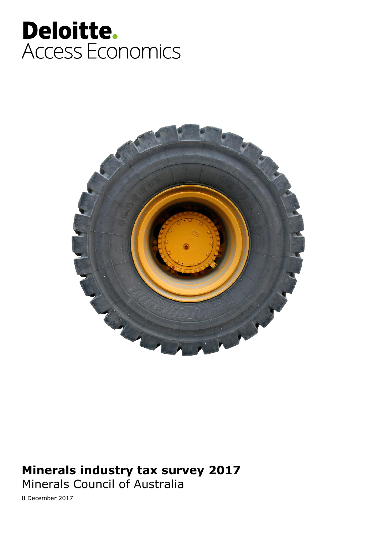# Deloitte. Access Economics



### **Minerals industry tax survey 2017**

Minerals Council of Australia

8 December 2017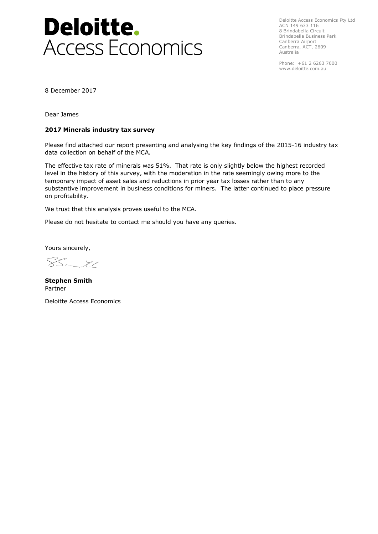

Deloitte Access Economics Pty Ltd ACN 149 633 116 8 Brindabella Circuit Brindabella Business Park Canberra Airport Canberra, ACT, 2609 Australia

Phone: +61 2 6263 7000 www.deloitte.com.au

8 December 2017

Dear James

### **2017 Minerals industry tax survey**

Please find attached our report presenting and analysing the key findings of the 2015-16 industry tax data collection on behalf of the MCA.

The effective tax rate of minerals was 51%. That rate is only slightly below the highest recorded level in the history of this survey, with the moderation in the rate seemingly owing more to the temporary impact of asset sales and reductions in prior year tax losses rather than to any substantive improvement in business conditions for miners. The latter continued to place pressure on profitability.

We trust that this analysis proves useful to the MCA.

Please do not hesitate to contact me should you have any queries.

Yours sincerely,

 $3 - 71$ 

**Stephen Smith** Partner

Deloitte Access Economics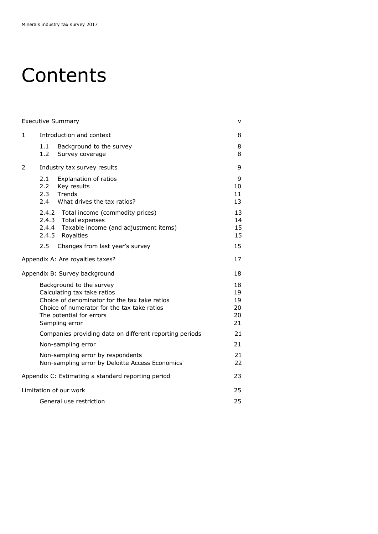# **Contents**

|    | <b>Executive Summary</b> |                                                                                                                                                                                                       | v                                |
|----|--------------------------|-------------------------------------------------------------------------------------------------------------------------------------------------------------------------------------------------------|----------------------------------|
| 1. |                          | Introduction and context                                                                                                                                                                              | 8                                |
|    | 1.1<br>1.2 <sub>1</sub>  | Background to the survey<br>Survey coverage                                                                                                                                                           | 8<br>8                           |
| 2  |                          | Industry tax survey results                                                                                                                                                                           | 9                                |
|    | 2.1<br>2.2<br>2.3<br>2.4 | Explanation of ratios<br>Key results<br>Trends<br>What drives the tax ratios?                                                                                                                         | 9<br>10<br>11<br>13              |
|    |                          | 2.4.2 Total income (commodity prices)<br>2.4.3 Total expenses<br>2.4.4 Taxable income (and adjustment items)<br>2.4.5 Royalties                                                                       | 13<br>14<br>15<br>15             |
|    | 2.5                      | Changes from last year's survey                                                                                                                                                                       | 15                               |
|    |                          | Appendix A: Are royalties taxes?                                                                                                                                                                      | 17                               |
|    |                          | Appendix B: Survey background                                                                                                                                                                         | 18                               |
|    |                          | Background to the survey<br>Calculating tax take ratios<br>Choice of denominator for the tax take ratios<br>Choice of numerator for the tax take ratios<br>The potential for errors<br>Sampling error | 18<br>19<br>19<br>20<br>20<br>21 |
|    |                          | Companies providing data on different reporting periods                                                                                                                                               | 21                               |
|    |                          | Non-sampling error                                                                                                                                                                                    | 21                               |
|    |                          | Non-sampling error by respondents<br>Non-sampling error by Deloitte Access Economics                                                                                                                  | 21<br>22                         |
|    |                          | Appendix C: Estimating a standard reporting period                                                                                                                                                    | 23                               |
|    |                          | Limitation of our work                                                                                                                                                                                | 25                               |
|    |                          | General use restriction                                                                                                                                                                               | 25                               |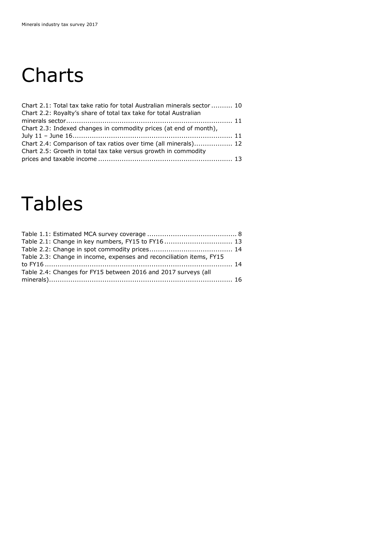# **Charts**

| Chart 2.1: Total tax take ratio for total Australian minerals sector  10 |  |
|--------------------------------------------------------------------------|--|
| Chart 2.2: Royalty's share of total tax take for total Australian        |  |
|                                                                          |  |
| Chart 2.3: Indexed changes in commodity prices (at end of month),        |  |
|                                                                          |  |
| Chart 2.4: Comparison of tax ratios over time (all minerals) 12          |  |
| Chart 2.5: Growth in total tax take versus growth in commodity           |  |
|                                                                          |  |

### Tables

| Table 2.1: Change in key numbers, FY15 to FY16 13 |
|---------------------------------------------------|
|                                                   |
|                                                   |
|                                                   |
|                                                   |
|                                                   |
|                                                   |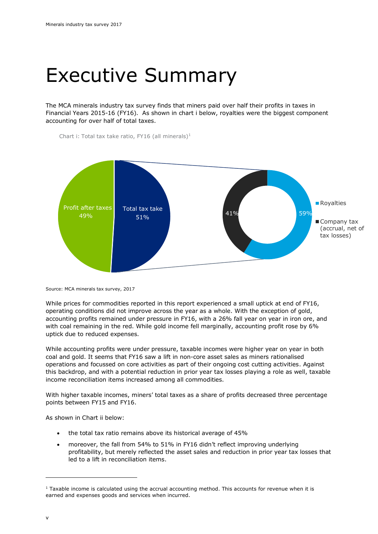### Executive Summary

The MCA minerals industry tax survey finds that miners paid over half their profits in taxes in Financial Years 2015-16 (FY16). As shown in chart i below, royalties were the biggest component accounting for over half of total taxes.

Chart i: Total tax take ratio, FY16 (all minerals)<sup>1</sup>



Source: MCA minerals tax survey, 2017

While prices for commodities reported in this report experienced a small uptick at end of FY16, operating conditions did not improve across the year as a whole. With the exception of gold, accounting profits remained under pressure in FY16, with a 26% fall year on year in iron ore, and with coal remaining in the red. While gold income fell marginally, accounting profit rose by 6% uptick due to reduced expenses.

While accounting profits were under pressure, taxable incomes were higher year on year in both coal and gold. It seems that FY16 saw a lift in non-core asset sales as miners rationalised operations and focussed on core activities as part of their ongoing cost cutting activities. Against this backdrop, and with a potential reduction in prior year tax losses playing a role as well, taxable income reconciliation items increased among all commodities.

With higher taxable incomes, miners' total taxes as a share of profits decreased three percentage points between FY15 and FY16.

As shown in Chart ii below:

- the total tax ratio remains above its historical average of 45%
- moreover, the fall from 54% to 51% in FY16 didn't reflect improving underlying profitability, but merely reflected the asset sales and reduction in prior year tax losses that led to a lift in reconciliation items.

-

 $1$  Taxable income is calculated using the accrual accounting method. This accounts for revenue when it is earned and expenses goods and services when incurred.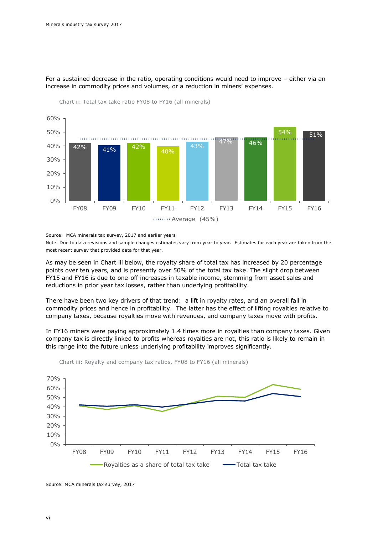

For a sustained decrease in the ratio, operating conditions would need to improve – either via an increase in commodity prices and volumes, or a reduction in miners' expenses.

Chart ii: Total tax take ratio FY08 to FY16 (all minerals)

Source: MCA minerals tax survey, 2017 and earlier years

Note: Due to data revisions and sample changes estimates vary from year to year. Estimates for each year are taken from the most recent survey that provided data for that year.

As may be seen in Chart iii below, the royalty share of total tax has increased by 20 percentage points over ten years, and is presently over 50% of the total tax take. The slight drop between FY15 and FY16 is due to one-off increases in taxable income, stemming from asset sales and reductions in prior year tax losses, rather than underlying profitability.

There have been two key drivers of that trend: a lift in royalty rates, and an overall fall in commodity prices and hence in profitability. The latter has the effect of lifting royalties relative to company taxes, because royalties move with revenues, and company taxes move with profits.

In FY16 miners were paying approximately 1.4 times more in royalties than company taxes. Given company tax is directly linked to profits whereas royalties are not, this ratio is likely to remain in this range into the future unless underlying profitability improves significantly.



Chart iii: Royalty and company tax ratios, FY08 to FY16 (all minerals)

Source: MCA minerals tax survey, 2017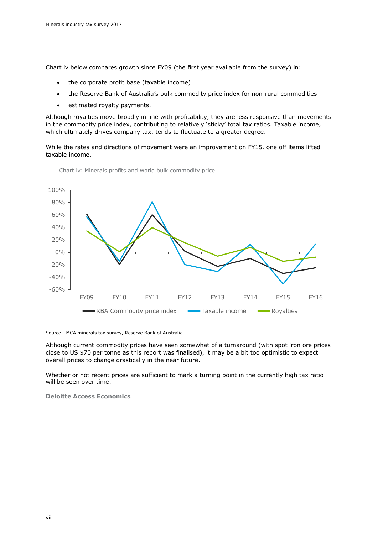Chart iv below compares growth since FY09 (the first year available from the survey) in:

- the corporate profit base (taxable income)
- the Reserve Bank of Australia's bulk commodity price index for non-rural commodities
- estimated royalty payments.

Although royalties move broadly in line with profitability, they are less responsive than movements in the commodity price index, contributing to relatively 'sticky' total tax ratios. Taxable income, which ultimately drives company tax, tends to fluctuate to a greater degree.

While the rates and directions of movement were an improvement on FY15, one off items lifted taxable income.



Chart iv: Minerals profits and world bulk commodity price

Source: MCA minerals tax survey, Reserve Bank of Australia

Although current commodity prices have seen somewhat of a turnaround (with spot iron ore prices close to US \$70 per tonne as this report was finalised), it may be a bit too optimistic to expect overall prices to change drastically in the near future.

Whether or not recent prices are sufficient to mark a turning point in the currently high tax ratio will be seen over time.

**Deloitte Access Economics**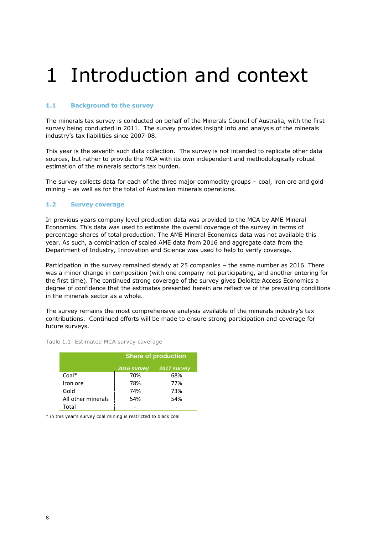# 1 Introduction and context

### **1.1 Background to the survey**

The minerals tax survey is conducted on behalf of the Minerals Council of Australia, with the first survey being conducted in 2011. The survey provides insight into and analysis of the minerals industry's tax liabilities since 2007-08.

This year is the seventh such data collection. The survey is not intended to replicate other data sources, but rather to provide the MCA with its own independent and methodologically robust estimation of the minerals sector's tax burden.

The survey collects data for each of the three major commodity groups – coal, iron ore and gold mining – as well as for the total of Australian minerals operations.

#### **1.2 Survey coverage**

In previous years company level production data was provided to the MCA by AME Mineral Economics. This data was used to estimate the overall coverage of the survey in terms of percentage shares of total production. The AME Mineral Economics data was not available this year. As such, a combination of scaled AME data from 2016 and aggregate data from the Department of Industry, Innovation and Science was used to help to verify coverage.

Participation in the survey remained steady at 25 companies – the same number as 2016. There was a minor change in composition (with one company not participating, and another entering for the first time). The continued strong coverage of the survey gives Deloitte Access Economics a degree of confidence that the estimates presented herein are reflective of the prevailing conditions in the minerals sector as a whole.

The survey remains the most comprehensive analysis available of the minerals industry's tax contributions. Continued efforts will be made to ensure strong participation and coverage for future surveys.

<span id="page-7-0"></span>Table 1.1: Estimated MCA survey coverage

|                    | <b>Share of production</b> |             |  |  |
|--------------------|----------------------------|-------------|--|--|
|                    | 2016 survey                | 2017 survey |  |  |
| $Coal*$            | 70%                        | 68%         |  |  |
| Iron ore           | 78%                        | 77%         |  |  |
| Gold               | 74%                        | 73%         |  |  |
| All other minerals | 54%                        | 54%         |  |  |
| Total              |                            |             |  |  |

\* in this year's survey coal mining is restricted to black coal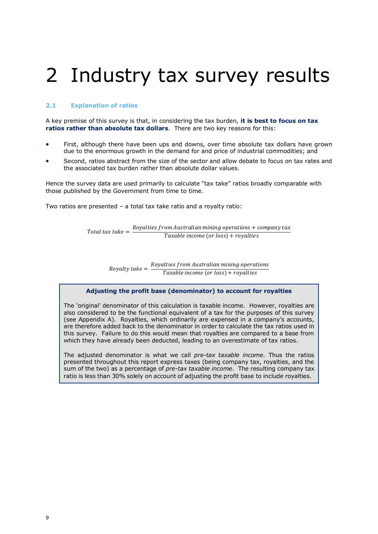# 2 Industry tax survey results

### **2.1 Explanation of ratios**

A key premise of this survey is that, in considering the tax burden, **it is best to focus on tax ratios rather than absolute tax dollars**. There are two key reasons for this:

- First, although there have been ups and downs, over time absolute tax dollars have grown due to the enormous growth in the demand for and price of industrial commodities; and
- Second, ratios abstract from the size of the sector and allow debate to focus on tax rates and the associated tax burden rather than absolute dollar values.

Hence the survey data are used primarily to calculate "tax take" ratios broadly comparable with those published by the Government from time to time.

Two ratios are presented – a total tax take ratio and a royalty ratio:

Total tax take  $=$   $\frac{Royalties\ from\ Australian\ mining\ operations + company\ tax}{Tzwekls\ times(0,0,0,0,0)}$ Taxable income (or loss) + royalties

> Royalty take  $=\frac{Royalties\ from\ Australian\ mining\ operations}{T}$ Taxable income (or loss) + royalties

### **Adjusting the profit base (denominator) to account for royalties**

The 'original' denominator of this calculation is taxable income. However, royalties are also considered to be the functional equivalent of a tax for the purposes of this survey (see Appendix A). Royalties, which ordinarily are expensed in a company's accounts, are therefore added back to the denominator in order to calculate the tax ratios used in this survey. Failure to do this would mean that royalties are compared to a base from which they have already been deducted, leading to an overestimate of tax ratios.

The adjusted denominator is what we call *pre-tax taxable income.* Thus the ratios presented throughout this report express taxes (being company tax, royalties, and the sum of the two) as a percentage of *pre-tax taxable income*. The resulting company tax ratio is less than 30% solely on account of adjusting the profit base to include royalties.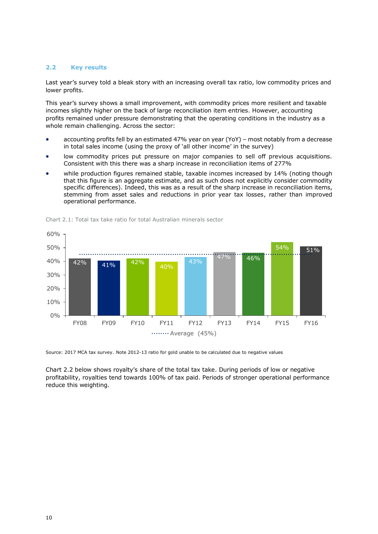### **2.2 Key results**

Last year's survey told a bleak story with an increasing overall tax ratio, low commodity prices and lower profits.

This year's survey shows a small improvement, with commodity prices more resilient and taxable incomes slightly higher on the back of large reconciliation item entries. However, accounting profits remained under pressure demonstrating that the operating conditions in the industry as a whole remain challenging. Across the sector:

- accounting profits fell by an estimated 47% year on year (YoY) most notably from a decrease in total sales income (using the proxy of 'all other income' in the survey)
- low commodity prices put pressure on major companies to sell off previous acquisitions. Consistent with this there was a sharp increase in reconciliation items of 277%
- while production figures remained stable, taxable incomes increased by 14% (noting though that this figure is an aggregate estimate, and as such does not explicitly consider commodity specific differences). Indeed, this was as a result of the sharp increase in reconciliation items, stemming from asset sales and reductions in prior year tax losses, rather than improved operational performance.



<span id="page-9-0"></span>Chart 2.1: Total tax take ratio for total Australian minerals sector

Source: 2017 MCA tax survey. Note 2012-13 ratio for gold unable to be calculated due to negative values

Chart 2.2 below shows royalty's share of the total tax take. During periods of low or negative profitability, royalties tend towards 100% of tax paid. Periods of stronger operational performance reduce this weighting.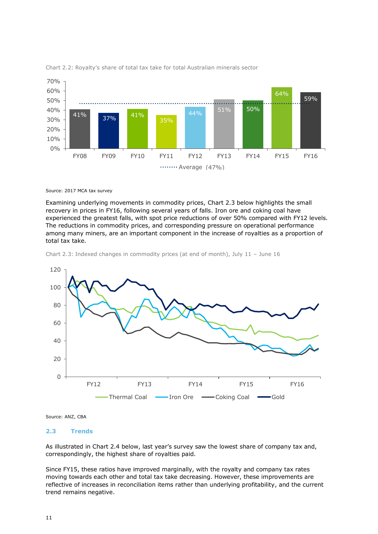

<span id="page-10-0"></span>Chart 2.2: Royalty's share of total tax take for total Australian minerals sector

Source: 2017 MCA tax survey

Examining underlying movements in commodity prices, Chart 2.3 below highlights the small recovery in prices in FY16, following several years of falls. Iron ore and coking coal have experienced the greatest falls, with spot price reductions of over 50% compared with FY12 levels. The reductions in commodity prices, and corresponding pressure on operational performance among many miners, are an important component in the increase of royalties as a proportion of total tax take.

<span id="page-10-1"></span>



Source: ANZ, CBA

### **2.3 Trends**

As illustrated in Chart 2.4 below, last year's survey saw the lowest share of company tax and, correspondingly, the highest share of royalties paid.

Since FY15, these ratios have improved marginally, with the royalty and company tax rates moving towards each other and total tax take decreasing. However, these improvements are reflective of increases in reconciliation items rather than underlying profitability, and the current trend remains negative.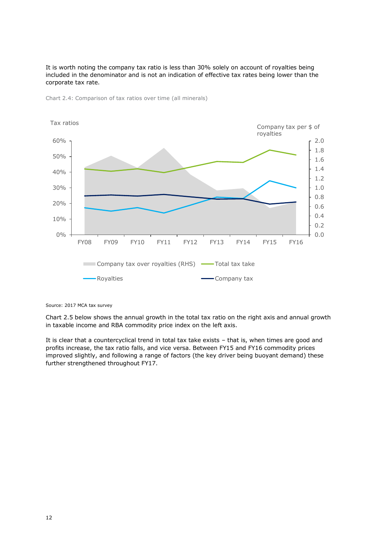It is worth noting the company tax ratio is less than 30% solely on account of royalties being included in the denominator and is not an indication of effective tax rates being lower than the corporate tax rate.



<span id="page-11-0"></span>Chart 2.4: Comparison of tax ratios over time (all minerals)

Chart 2.5 below shows the annual growth in the total tax ratio on the right axis and annual growth in taxable income and RBA commodity price index on the left axis.

It is clear that a countercyclical trend in total tax take exists – that is, when times are good and profits increase, the tax ratio falls, and vice versa. Between FY15 and FY16 commodity prices improved slightly, and following a range of factors (the key driver being buoyant demand) these further strengthened throughout FY17.

Source: 2017 MCA tax survey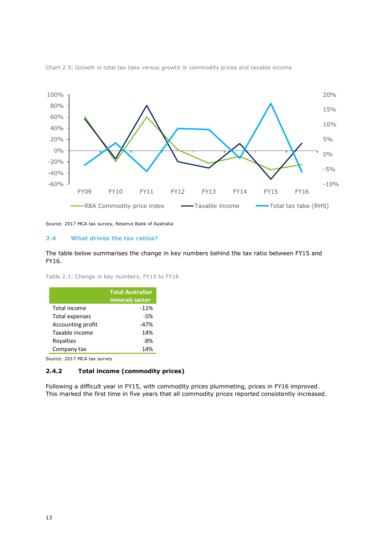

<span id="page-12-0"></span>Chart 2.5: Growth in total tax take versus growth in commodity prices and taxable income

Source: 2017 MCA tax survey, Reserve Bank of Australia

#### **2.4 What drives the tax ratios?**

The table below summarises the change in key numbers behind the tax ratio between FY15 and FY16.

<span id="page-12-1"></span>

|  |  |  |  | Table 2.1: Change in key numbers, FY15 to FY16 |  |  |  |  |
|--|--|--|--|------------------------------------------------|--|--|--|--|
|--|--|--|--|------------------------------------------------|--|--|--|--|

|                   | <b>Total Australian</b><br>minerals sector |
|-------------------|--------------------------------------------|
| Total income      | $-11%$                                     |
| Total expenses    | -5%                                        |
| Accounting profit | -47%                                       |
| Taxable income    | 14%                                        |
| Rovalties         | -8%                                        |
| Company tax       | 14%                                        |

Source: 2017 MCA tax survey

### **2.4.2 Total income (commodity prices)**

Following a difficult year in FY15, with commodity prices plummeting, prices in FY16 improved. This marked the first time in five years that all commodity prices reported consistently increased.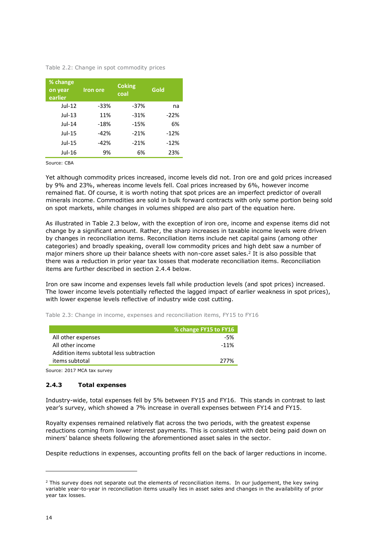<span id="page-13-0"></span>Table 2.2: Change in spot commodity prices

| % change<br>on year<br>earlier | <b>Iron ore</b> | <b>Coking</b><br>coal | Gold   |
|--------------------------------|-----------------|-----------------------|--------|
| $Jul-12$                       | -33%            | $-37%$                | na     |
| $Jul-13$                       | 11%             | $-31%$                | $-22%$ |
| $Jul-14$                       | $-18%$          | $-15%$                | 6%     |
| Jul-15                         | $-42%$          | $-21%$                | $-12%$ |
| Jul-15                         | -42%            | $-21%$                | $-12%$ |
| Jul-16                         | 9%              | 6%                    | 23%    |

Source: CBA

Yet although commodity prices increased, income levels did not. Iron ore and gold prices increased by 9% and 23%, whereas income levels fell. Coal prices increased by 6%, however income remained flat. Of course, it is worth noting that spot prices are an imperfect predictor of overall minerals income. Commodities are sold in bulk forward contracts with only some portion being sold on spot markets, while changes in volumes shipped are also part of the equation here.

As illustrated in Table 2.3 below, with the exception of iron ore, income and expense items did not change by a significant amount. Rather, the sharp increases in taxable income levels were driven by changes in reconciliation items. Reconciliation items include net capital gains (among other categories) and broadly speaking, overall low commodity prices and high debt saw a number of major miners shore up their balance sheets with non-core asset sales.<sup>2</sup> It is also possible that there was a reduction in prior year tax losses that moderate reconciliation items. Reconciliation items are further described in section 2.4.4 below.

Iron ore saw income and expenses levels fall while production levels (and spot prices) increased. The lower income levels potentially reflected the lagged impact of earlier weakness in spot prices), with lower expense levels reflective of industry wide cost cutting.

<span id="page-13-1"></span>Table 2.3: Change in income, expenses and reconciliation items, FY15 to FY16

|                                          | % change FY15 to FY16 |
|------------------------------------------|-----------------------|
| All other expenses                       | -5%                   |
| All other income                         | $-11%$                |
| Addition items subtotal less subtraction |                       |
| items subtotal                           | 277%                  |
|                                          |                       |

Source: 2017 MCA tax survey

### **2.4.3 Total expenses**

Industry-wide, total expenses fell by 5% between FY15 and FY16. This stands in contrast to last year's survey, which showed a 7% increase in overall expenses between FY14 and FY15.

Royalty expenses remained relatively flat across the two periods, with the greatest expense reductions coming from lower interest payments. This is consistent with debt being paid down on miners' balance sheets following the aforementioned asset sales in the sector.

Despite reductions in expenses, accounting profits fell on the back of larger reductions in income.

-

 $<sup>2</sup>$  This survey does not separate out the elements of reconciliation items. In our judgement, the key swing</sup> variable year-to-year in reconciliation items usually lies in asset sales and changes in the availability of prior year tax losses.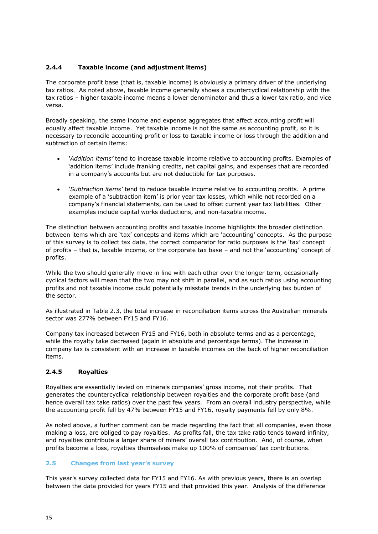### **2.4.4 Taxable income (and adjustment items)**

The corporate profit base (that is, taxable income) is obviously a primary driver of the underlying tax ratios. As noted above, taxable income generally shows a countercyclical relationship with the tax ratios – higher taxable income means a lower denominator and thus a lower tax ratio, and vice versa.

Broadly speaking, the same income and expense aggregates that affect accounting profit will equally affect taxable income. Yet taxable income is not the same as accounting profit, so it is necessary to reconcile accounting profit or loss to taxable income or loss through the addition and subtraction of certain items:

- *'Addition items'* tend to increase taxable income relative to accounting profits. Examples of 'addition items' include franking credits, net capital gains, and expenses that are recorded in a company's accounts but are not deductible for tax purposes.
- *'Subtraction items'* tend to reduce taxable income relative to accounting profits. A prime example of a 'subtraction item' is prior year tax losses, which while not recorded on a company's financial statements, can be used to offset current year tax liabilities. Other examples include capital works deductions, and non-taxable income.

The distinction between accounting profits and taxable income highlights the broader distinction between items which are 'tax' concepts and items which are 'accounting' concepts. As the purpose of this survey is to collect tax data, the correct comparator for ratio purposes is the 'tax' concept of profits – that is, taxable income, or the corporate tax base – and not the 'accounting' concept of profits.

While the two should generally move in line with each other over the longer term, occasionally cyclical factors will mean that the two may not shift in parallel, and as such ratios using accounting profits and not taxable income could potentially misstate trends in the underlying tax burden of the sector.

As illustrated in Table 2.3, the total increase in reconciliation items across the Australian minerals sector was 277% between FY15 and FY16.

Company tax increased between FY15 and FY16, both in absolute terms and as a percentage, while the royalty take decreased (again in absolute and percentage terms). The increase in company tax is consistent with an increase in taxable incomes on the back of higher reconciliation items.

### **2.4.5 Royalties**

Royalties are essentially levied on minerals companies' gross income, not their profits. That generates the countercyclical relationship between royalties and the corporate profit base (and hence overall tax take ratios) over the past few years. From an overall industry perspective, while the accounting profit fell by 47% between FY15 and FY16, royalty payments fell by only 8%.

As noted above, a further comment can be made regarding the fact that all companies, even those making a loss, are obliged to pay royalties. As profits fall, the tax take ratio tends toward infinity, and royalties contribute a larger share of miners' overall tax contribution. And, of course, when profits become a loss, royalties themselves make up 100% of companies' tax contributions.

### **2.5 Changes from last year's survey**

This year's survey collected data for FY15 and FY16. As with previous years, there is an overlap between the data provided for years FY15 and that provided this year. Analysis of the difference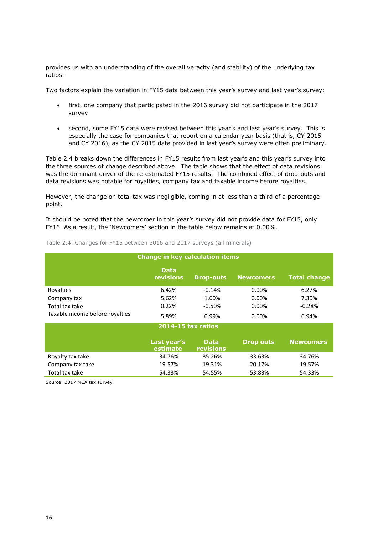provides us with an understanding of the overall veracity (and stability) of the underlying tax ratios.

Two factors explain the variation in FY15 data between this year's survey and last year's survey:

- first, one company that participated in the 2016 survey did not participate in the 2017 survey
- second, some FY15 data were revised between this year's and last year's survey. This is especially the case for companies that report on a calendar year basis (that is, CY 2015 and CY 2016), as the CY 2015 data provided in last year's survey were often preliminary.

Table 2.4 breaks down the differences in FY15 results from last year's and this year's survey into the three sources of change described above. The table shows that the effect of data revisions was the dominant driver of the re-estimated FY15 results. The combined effect of drop-outs and data revisions was notable for royalties, company tax and taxable income before royalties.

However, the change on total tax was negligible, coming in at less than a third of a percentage point.

It should be noted that the newcomer in this year's survey did not provide data for FY15, only FY16. As a result, the 'Newcomers' section in the table below remains at 0.00%.

| <b>Change in key calculation items</b> |                                 |                          |                  |                     |  |  |  |  |
|----------------------------------------|---------------------------------|--------------------------|------------------|---------------------|--|--|--|--|
|                                        | <b>Data</b><br><b>revisions</b> | <b>Drop-outs</b>         | <b>Newcomers</b> | <b>Total change</b> |  |  |  |  |
| Rovalties                              | 6.42%                           | $-0.14%$                 | 0.00%            | 6.27%               |  |  |  |  |
| Company tax                            | 5.62%                           | 1.60%                    | 0.00%            | 7.30%               |  |  |  |  |
| Total tax take                         | 0.22%                           | $-0.50%$                 | 0.00%            | $-0.28%$            |  |  |  |  |
| Taxable income before royalties        | 5.89%<br>0.99%<br>0.00%         |                          | 6.94%            |                     |  |  |  |  |
|                                        | <b>2014-15 tax ratios</b>       |                          |                  |                     |  |  |  |  |
|                                        | Last year's<br>estimate         | <b>Data</b><br>revisions | <b>Drop outs</b> | <b>Newcomers</b>    |  |  |  |  |
| Royalty tax take                       | 34.76%                          | 35.26%                   | 33.63%           | 34.76%              |  |  |  |  |
| Company tax take                       | 19.57%                          | 19.31%                   | 20.17%           | 19.57%              |  |  |  |  |
| Total tax take                         | 54.33%                          | 54.55%                   | 53.83%           | 54.33%              |  |  |  |  |

<span id="page-15-0"></span>Table 2.4: Changes for FY15 between 2016 and 2017 surveys (all minerals)

Source: 2017 MCA tax survey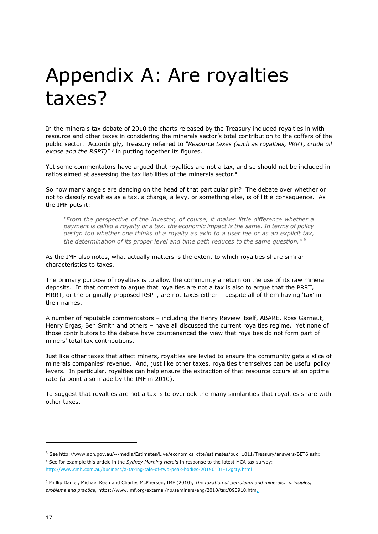### Appendix A: Are royalties taxes?

In the minerals tax debate of 2010 the charts released by the Treasury included royalties in with resource and other taxes in considering the minerals sector's total contribution to the coffers of the public sector. Accordingly, Treasury referred to *"Resource taxes (such as royalties, PRRT, crude oil*  excise and the RSPT)<sup>"3</sup> in putting together its figures.

Yet some commentators have argued that royalties are not a tax, and so should not be included in ratios aimed at assessing the tax liabilities of the minerals sector. 4

So how many angels are dancing on the head of that particular pin? The debate over whether or not to classify royalties as a tax, a charge, a levy, or something else, is of little consequence. As the IMF puts it:

*"From the perspective of the investor, of course, it makes little difference whether a payment is called a royalty or a tax: the economic impact is the same. In terms of policy design too whether one thinks of a royalty as akin to a user fee or as an explicit tax, the determination of its proper level and time path reduces to the same question."* <sup>5</sup>

As the IMF also notes, what actually matters is the extent to which royalties share similar characteristics to taxes.

The primary purpose of royalties is to allow the community a return on the use of its raw mineral deposits. In that context to argue that royalties are not a tax is also to argue that the PRRT, MRRT, or the originally proposed RSPT, are not taxes either – despite all of them having 'tax' in their names.

A number of reputable commentators – including the Henry Review itself, ABARE, Ross Garnaut, Henry Ergas, Ben Smith and others – have all discussed the current royalties regime. Yet none of those contributors to the debate have countenanced the view that royalties do not form part of miners' total tax contributions.

Just like other taxes that affect miners, royalties are levied to ensure the community gets a slice of minerals companies' revenue. And, just like other taxes, royalties themselves can be useful policy levers. In particular, royalties can help ensure the extraction of that resource occurs at an optimal rate (a point also made by the IMF in 2010).

To suggest that royalties are not a tax is to overlook the many similarities that royalties share with other taxes.

-

<sup>3</sup> See http://www.aph.gov.au/~/media/Estimates/Live/economics\_ctte/estimates/bud\_1011/Treasury/answers/BET6.ashx. <sup>4</sup> See for example this article in the *Sydney Morning Herald* in response to the latest MCA tax survey: [http://www.smh.com.au/business/a-taxing-tale-of-two-peak-bodies-20150101-12gcty.html.](http://www.smh.com.au/business/a-taxing-tale-of-two-peak-bodies-20150101-12gcty.html)

<sup>5</sup> Phillip Daniel, Michael Keen and Charles McPherson, IMF (2010), *The taxation of petroleum and minerals: principles, problems and practice*, https://www.imf.org/external/np/seminars/eng/2010/tax/090910.htm.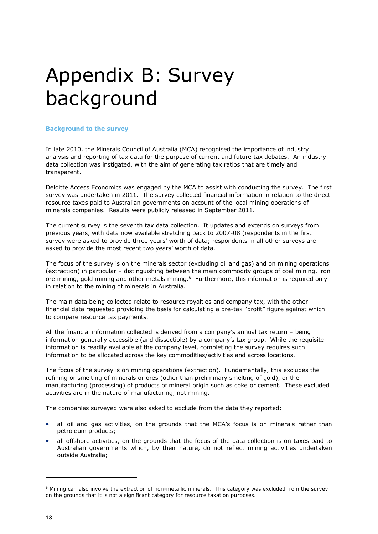### Appendix B: Survey background

### **Background to the survey**

In late 2010, the Minerals Council of Australia (MCA) recognised the importance of industry analysis and reporting of tax data for the purpose of current and future tax debates. An industry data collection was instigated, with the aim of generating tax ratios that are timely and transparent.

Deloitte Access Economics was engaged by the MCA to assist with conducting the survey. The first survey was undertaken in 2011. The survey collected financial information in relation to the direct resource taxes paid to Australian governments on account of the local mining operations of minerals companies. Results were publicly released in September 2011.

The current survey is the seventh tax data collection. It updates and extends on surveys from previous years, with data now available stretching back to 2007-08 (respondents in the first survey were asked to provide three years' worth of data; respondents in all other surveys are asked to provide the most recent two years' worth of data.

The focus of the survey is on the minerals sector (excluding oil and gas) and on mining operations (extraction) in particular – distinguishing between the main commodity groups of coal mining, iron ore mining, gold mining and other metals mining.<sup>6</sup> Furthermore, this information is required only in relation to the mining of minerals in Australia.

The main data being collected relate to resource royalties and company tax, with the other financial data requested providing the basis for calculating a pre-tax "profit" figure against which to compare resource tax payments.

All the financial information collected is derived from a company's annual tax return – being information generally accessible (and dissectible) by a company's tax group. While the requisite information is readily available at the company level, completing the survey requires such information to be allocated across the key commodities/activities and across locations.

The focus of the survey is on mining operations (extraction). Fundamentally, this excludes the refining or smelting of minerals or ores (other than preliminary smelting of gold), or the manufacturing (processing) of products of mineral origin such as coke or cement. These excluded activities are in the nature of manufacturing, not mining.

The companies surveyed were also asked to exclude from the data they reported:

- all oil and gas activities, on the grounds that the MCA's focus is on minerals rather than petroleum products;
- all offshore activities, on the grounds that the focus of the data collection is on taxes paid to Australian governments which, by their nature, do not reflect mining activities undertaken outside Australia;

-

<sup>6</sup> Mining can also involve the extraction of non-metallic minerals. This category was excluded from the survey on the grounds that it is not a significant category for resource taxation purposes.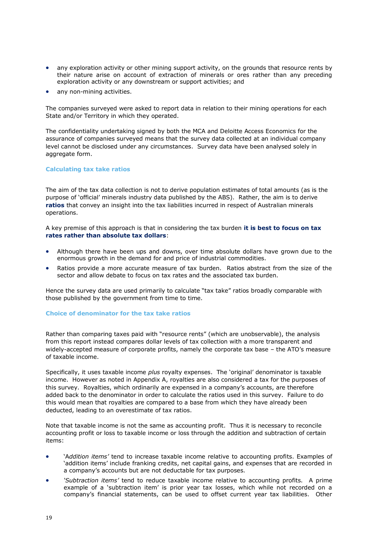- any exploration activity or other mining support activity, on the grounds that resource rents by their nature arise on account of extraction of minerals or ores rather than any preceding exploration activity or any downstream or support activities; and
- any non-mining activities.

The companies surveyed were asked to report data in relation to their mining operations for each State and/or Territory in which they operated.

The confidentiality undertaking signed by both the MCA and Deloitte Access Economics for the assurance of companies surveyed means that the survey data collected at an individual company level cannot be disclosed under any circumstances. Survey data have been analysed solely in aggregate form.

### **Calculating tax take ratios**

The aim of the tax data collection is not to derive population estimates of total amounts (as is the purpose of 'official' minerals industry data published by the ABS). Rather, the aim is to derive **ratios** that convey an insight into the tax liabilities incurred in respect of Australian minerals operations.

A key premise of this approach is that in considering the tax burden **it is best to focus on tax rates rather than absolute tax dollars**:

- Although there have been ups and downs, over time absolute dollars have grown due to the enormous growth in the demand for and price of industrial commodities.
- Ratios provide a more accurate measure of tax burden. Ratios abstract from the size of the sector and allow debate to focus on tax rates and the associated tax burden.

Hence the survey data are used primarily to calculate "tax take" ratios broadly comparable with those published by the government from time to time.

### **Choice of denominator for the tax take ratios**

Rather than comparing taxes paid with "resource rents" (which are unobservable), the analysis from this report instead compares dollar levels of tax collection with a more transparent and widely-accepted measure of corporate profits, namely the corporate tax base – the ATO's measure of taxable income.

Specifically, it uses taxable income *plus* royalty expenses. The 'original' denominator is taxable income. However as noted in Appendix A, royalties are also considered a tax for the purposes of this survey. Royalties, which ordinarily are expensed in a company's accounts, are therefore added back to the denominator in order to calculate the ratios used in this survey. Failure to do this would mean that royalties are compared to a base from which they have already been deducted, leading to an overestimate of tax ratios.

Note that taxable income is not the same as accounting profit. Thus it is necessary to reconcile accounting profit or loss to taxable income or loss through the addition and subtraction of certain items:

- 'A*ddition items'* tend to increase taxable income relative to accounting profits. Examples of 'addition items' include franking credits, net capital gains, and expenses that are recorded in a company's accounts but are not deductable for tax purposes.
- *'Subtraction items'* tend to reduce taxable income relative to accounting profits. A prime example of a 'subtraction item' is prior year tax losses, which while not recorded on a company's financial statements, can be used to offset current year tax liabilities. Other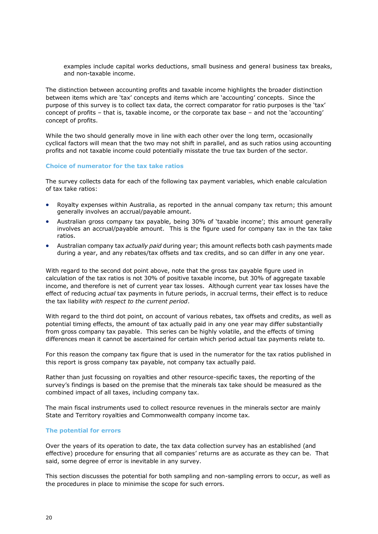examples include capital works deductions, small business and general business tax breaks, and non-taxable income.

The distinction between accounting profits and taxable income highlights the broader distinction between items which are 'tax' concepts and items which are 'accounting' concepts. Since the purpose of this survey is to collect tax data, the correct comparator for ratio purposes is the 'tax' concept of profits – that is, taxable income, or the corporate tax base – and not the 'accounting' concept of profits.

While the two should generally move in line with each other over the long term, occasionally cyclical factors will mean that the two may not shift in parallel, and as such ratios using accounting profits and not taxable income could potentially misstate the true tax burden of the sector.

### **Choice of numerator for the tax take ratios**

The survey collects data for each of the following tax payment variables, which enable calculation of tax take ratios:

- Royalty expenses within Australia, as reported in the annual company tax return; this amount generally involves an accrual/payable amount.
- Australian gross company tax payable, being 30% of 'taxable income'; this amount generally involves an accrual/payable amount. This is the figure used for company tax in the tax take ratios.
- Australian company tax *actually paid* during year; this amount reflects both cash payments made during a year, and any rebates/tax offsets and tax credits, and so can differ in any one year.

With regard to the second dot point above, note that the gross tax payable figure used in calculation of the tax ratios is not 30% of positive taxable income, but 30% of aggregate taxable income, and therefore is net of current year tax losses. Although current year tax losses have the effect of reducing *actual* tax payments in future periods, in accrual terms, their effect is to reduce the tax liability *with respect to the current period*.

With regard to the third dot point, on account of various rebates, tax offsets and credits, as well as potential timing effects, the amount of tax actually paid in any one year may differ substantially from gross company tax payable. This series can be highly volatile, and the effects of timing differences mean it cannot be ascertained for certain which period actual tax payments relate to.

For this reason the company tax figure that is used in the numerator for the tax ratios published in this report is gross company tax payable, not company tax actually paid.

Rather than just focussing on royalties and other resource-specific taxes, the reporting of the survey's findings is based on the premise that the minerals tax take should be measured as the combined impact of all taxes, including company tax.

The main fiscal instruments used to collect resource revenues in the minerals sector are mainly State and Territory royalties and Commonwealth company income tax.

### **The potential for errors**

Over the years of its operation to date, the tax data collection survey has an established (and effective) procedure for ensuring that all companies' returns are as accurate as they can be. That said, some degree of error is inevitable in any survey.

This section discusses the potential for both sampling and non-sampling errors to occur, as well as the procedures in place to minimise the scope for such errors.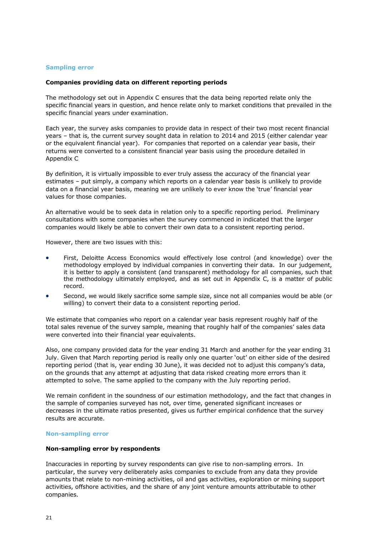### **Sampling error**

### **Companies providing data on different reporting periods**

The methodology set out in Appendix C ensures that the data being reported relate only the specific financial years in question, and hence relate only to market conditions that prevailed in the specific financial years under examination.

Each year, the survey asks companies to provide data in respect of their two most recent financial years – that is, the current survey sought data in relation to 2014 and 2015 (either calendar year or the equivalent financial year). For companies that reported on a calendar year basis, their returns were converted to a consistent financial year basis using the procedure detailed in Appendix C

By definition, it is virtually impossible to ever truly assess the accuracy of the financial year estimates – put simply, a company which reports on a calendar year basis is unlikely to provide data on a financial year basis, meaning we are unlikely to ever know the 'true' financial year values for those companies.

An alternative would be to seek data in relation only to a specific reporting period. Preliminary consultations with some companies when the survey commenced in indicated that the larger companies would likely be able to convert their own data to a consistent reporting period.

However, there are two issues with this:

- First, Deloitte Access Economics would effectively lose control (and knowledge) over the methodology employed by individual companies in converting their data. In our judgement, it is better to apply a consistent (and transparent) methodology for all companies, such that the methodology ultimately employed, and as set out in Appendix C, is a matter of public record.
- Second, we would likely sacrifice some sample size, since not all companies would be able (or willing) to convert their data to a consistent reporting period.

We estimate that companies who report on a calendar year basis represent roughly half of the total sales revenue of the survey sample, meaning that roughly half of the companies' sales data were converted into their financial year equivalents.

Also, one company provided data for the year ending 31 March and another for the year ending 31 July. Given that March reporting period is really only one quarter 'out' on either side of the desired reporting period (that is, year ending 30 June), it was decided not to adjust this company's data, on the grounds that any attempt at adjusting that data risked creating more errors than it attempted to solve. The same applied to the company with the July reporting period.

We remain confident in the soundness of our estimation methodology, and the fact that changes in the sample of companies surveyed has not, over time, generated significant increases or decreases in the ultimate ratios presented, gives us further empirical confidence that the survey results are accurate.

### **Non-sampling error**

### **Non-sampling error by respondents**

Inaccuracies in reporting by survey respondents can give rise to non-sampling errors. In particular, the survey very deliberately asks companies to exclude from any data they provide amounts that relate to non-mining activities, oil and gas activities, exploration or mining support activities, offshore activities, and the share of any joint venture amounts attributable to other companies.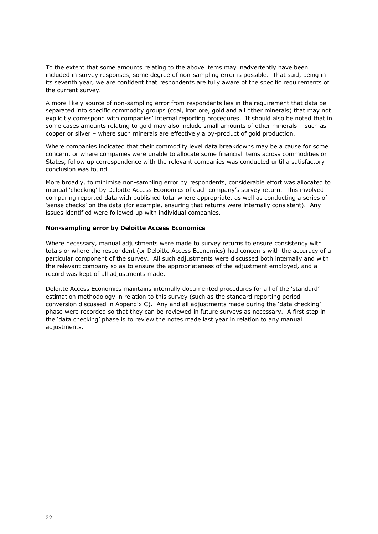To the extent that some amounts relating to the above items may inadvertently have been included in survey responses, some degree of non-sampling error is possible. That said, being in its seventh year, we are confident that respondents are fully aware of the specific requirements of the current survey.

A more likely source of non-sampling error from respondents lies in the requirement that data be separated into specific commodity groups (coal, iron ore, gold and all other minerals) that may not explicitly correspond with companies' internal reporting procedures. It should also be noted that in some cases amounts relating to gold may also include small amounts of other minerals – such as copper or silver – where such minerals are effectively a by-product of gold production.

Where companies indicated that their commodity level data breakdowns may be a cause for some concern, or where companies were unable to allocate some financial items across commodities or States, follow up correspondence with the relevant companies was conducted until a satisfactory conclusion was found.

More broadly, to minimise non-sampling error by respondents, considerable effort was allocated to manual 'checking' by Deloitte Access Economics of each company's survey return. This involved comparing reported data with published total where appropriate, as well as conducting a series of 'sense checks' on the data (for example, ensuring that returns were internally consistent). Any issues identified were followed up with individual companies.

### **Non-sampling error by Deloitte Access Economics**

Where necessary, manual adjustments were made to survey returns to ensure consistency with totals or where the respondent (or Deloitte Access Economics) had concerns with the accuracy of a particular component of the survey. All such adjustments were discussed both internally and with the relevant company so as to ensure the appropriateness of the adjustment employed, and a record was kept of all adjustments made.

Deloitte Access Economics maintains internally documented procedures for all of the 'standard' estimation methodology in relation to this survey (such as the standard reporting period conversion discussed in Appendix C). Any and all adjustments made during the 'data checking' phase were recorded so that they can be reviewed in future surveys as necessary. A first step in the 'data checking' phase is to review the notes made last year in relation to any manual adjustments.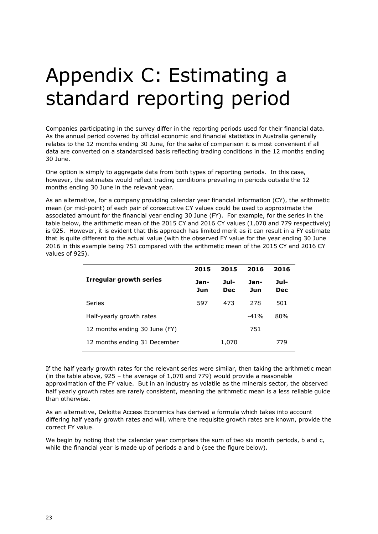# Appendix C: Estimating a standard reporting period

Companies participating in the survey differ in the reporting periods used for their financial data. As the annual period covered by official economic and financial statistics in Australia generally relates to the 12 months ending 30 June, for the sake of comparison it is most convenient if all data are converted on a standardised basis reflecting trading conditions in the 12 months ending 30 June.

One option is simply to aggregate data from both types of reporting periods. In this case, however, the estimates would reflect trading conditions prevailing in periods outside the 12 months ending 30 June in the relevant year.

As an alternative, for a company providing calendar year financial information (CY), the arithmetic mean (or mid-point) of each pair of consecutive CY values could be used to approximate the associated amount for the financial year ending 30 June (FY). For example, for the series in the table below, the arithmetic mean of the 2015 CY and 2016 CY values (1,070 and 779 respectively) is 925. However, it is evident that this approach has limited merit as it can result in a FY estimate that is quite different to the actual value (with the observed FY value for the year ending 30 June 2016 in this example being 751 compared with the arithmetic mean of the 2015 CY and 2016 CY values of 925).

|                                | 2015        | 2015               | 2016        | 2016               |
|--------------------------------|-------------|--------------------|-------------|--------------------|
| <b>Irregular growth series</b> | Jan-<br>Jun | Jul-<br><b>Dec</b> | Jan-<br>Jun | Jul-<br><b>Dec</b> |
| <b>Series</b>                  | 597         | 473                | 278         | 501                |
| Half-yearly growth rates       |             |                    | $-41%$      | 80%                |
| 12 months ending 30 June (FY)  |             |                    | 751         |                    |
| 12 months ending 31 December   |             | 1,070              |             | 779                |

If the half yearly growth rates for the relevant series were similar, then taking the arithmetic mean (in the table above, 925 – the average of 1,070 and 779) would provide a reasonable approximation of the FY value. But in an industry as volatile as the minerals sector, the observed half yearly growth rates are rarely consistent, meaning the arithmetic mean is a less reliable guide than otherwise.

As an alternative, Deloitte Access Economics has derived a formula which takes into account differing half yearly growth rates and will, where the requisite growth rates are known, provide the correct FY value.

We begin by noting that the calendar year comprises the sum of two six month periods, b and c, while the financial year is made up of periods a and b (see the figure below).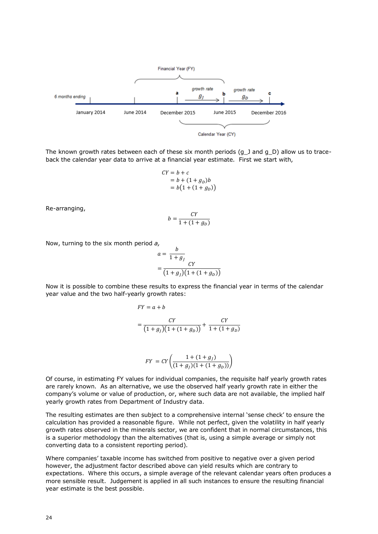

The known growth rates between each of these six month periods (g\_J and g\_D) allow us to traceback the calendar year data to arrive at a financial year estimate. First we start with,

$$
CY = b + c
$$
  
= b + (1 + g<sub>D</sub>)b  
= b(1 + (1 + g<sub>D</sub>))

Re-arranging,

$$
b = \frac{CY}{1 + (1 + g_D)}
$$

Now, turning to the six month period *a,* 

$$
a = \frac{b}{1+g_j}
$$
  
= 
$$
\frac{CY}{(1+g_j)(1+(1+g_p))}
$$

Now it is possible to combine these results to express the financial year in terms of the calendar year value and the two half-yearly growth rates:

$$
FY = a + b
$$
  
= 
$$
\frac{CY}{(1+g_J)(1+(1+g_D))} + \frac{CY}{1+(1+g_D)}
$$

$$
FY = CY\left(\frac{1 + (1 + g_j)}{(1 + g_j)(1 + (1 + g_p))}\right)
$$

Of course, in estimating FY values for individual companies, the requisite half yearly growth rates are rarely known. As an alternative, we use the observed half yearly growth rate in either the company's volume or value of production, or, where such data are not available, the implied half yearly growth rates from Department of Industry data.

The resulting estimates are then subject to a comprehensive internal 'sense check' to ensure the calculation has provided a reasonable figure. While not perfect, given the volatility in half yearly growth rates observed in the minerals sector, we are confident that in normal circumstances, this is a superior methodology than the alternatives (that is, using a simple average or simply not converting data to a consistent reporting period).

Where companies' taxable income has switched from positive to negative over a given period however, the adjustment factor described above can yield results which are contrary to expectations. Where this occurs, a simple average of the relevant calendar years often produces a more sensible result. Judgement is applied in all such instances to ensure the resulting financial year estimate is the best possible.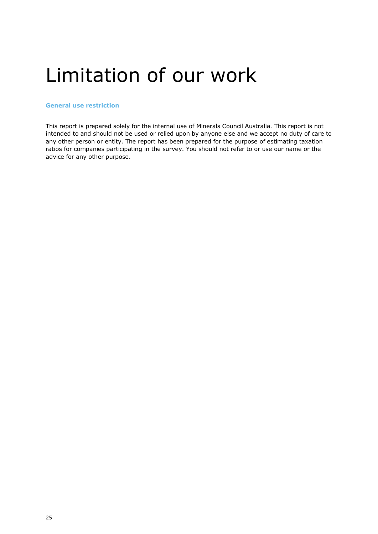### Limitation of our work

### **General use restriction**

This report is prepared solely for the internal use of Minerals Council Australia. This report is not intended to and should not be used or relied upon by anyone else and we accept no duty of care to any other person or entity. The report has been prepared for the purpose of estimating taxation ratios for companies participating in the survey. You should not refer to or use our name or the advice for any other purpose.